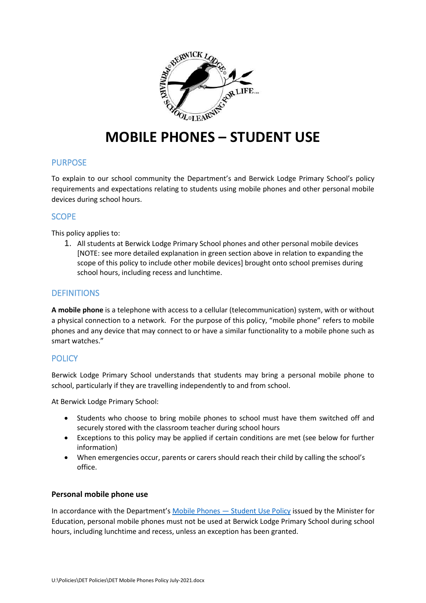

# **MOBILE PHONES – STUDENT USE**

## PURPOSE

To explain to our school community the Department's and Berwick Lodge Primary School's policy requirements and expectations relating to students using mobile phones and other personal mobile devices during school hours.

# **SCOPE**

This policy applies to:

1. All students at Berwick Lodge Primary School phones and other personal mobile devices [NOTE: see more detailed explanation in green section above in relation to expanding the scope of this policy to include other mobile devices] brought onto school premises during school hours, including recess and lunchtime.

# **DEFINITIONS**

**A mobile phone** is a telephone with access to a cellular (telecommunication) system, with or without a physical connection to a network. For the purpose of this policy, "mobile phone" refers to mobile phones and any device that may connect to or have a similar functionality to a mobile phone such as smart watches."

## **POLICY**

Berwick Lodge Primary School understands that students may bring a personal mobile phone to school, particularly if they are travelling independently to and from school.

At Berwick Lodge Primary School:

- Students who choose to bring mobile phones to school must have them switched off and securely stored with the classroom teacher during school hours
- Exceptions to this policy may be applied if certain conditions are met (see below for further information)
- When emergencies occur, parents or carers should reach their child by calling the school's office.

## **Personal mobile phone use**

In accordance with the Department's [Mobile Phones](https://www2.education.vic.gov.au/pal/students-using-mobile-phones/policy) — Student Use Policy issued by the Minister for Education, personal mobile phones must not be used at Berwick Lodge Primary School during school hours, including lunchtime and recess, unless an exception has been granted.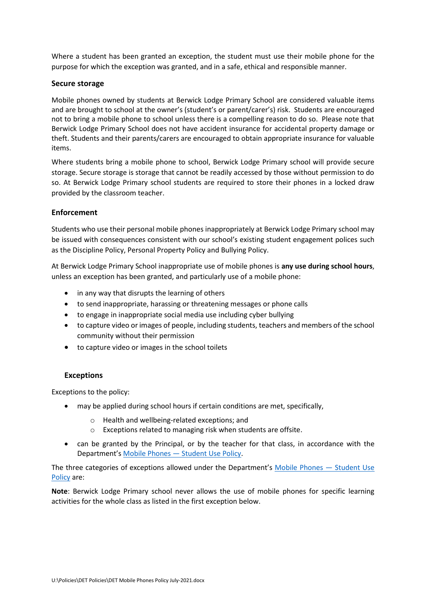Where a student has been granted an exception, the student must use their mobile phone for the purpose for which the exception was granted, and in a safe, ethical and responsible manner.

#### **Secure storage**

Mobile phones owned by students at Berwick Lodge Primary School are considered valuable items and are brought to school at the owner's (student's or parent/carer's) risk. Students are encouraged not to bring a mobile phone to school unless there is a compelling reason to do so. Please note that Berwick Lodge Primary School does not have accident insurance for accidental property damage or theft. Students and their parents/carers are encouraged to obtain appropriate insurance for valuable items.

Where students bring a mobile phone to school, Berwick Lodge Primary school will provide secure storage. Secure storage is storage that cannot be readily accessed by those without permission to do so. At Berwick Lodge Primary school students are required to store their phones in a locked draw provided by the classroom teacher.

## **Enforcement**

Students who use their personal mobile phones inappropriately at Berwick Lodge Primary school may be issued with consequences consistent with our school's existing student engagement polices such as the Discipline Policy, Personal Property Policy and Bullying Policy.

At Berwick Lodge Primary School inappropriate use of mobile phones is **any use during school hours**, unless an exception has been granted, and particularly use of a mobile phone:

- in any way that disrupts the learning of others
- to send inappropriate, harassing or threatening messages or phone calls
- to engage in inappropriate social media use including cyber bullying
- to capture video or images of people, including students, teachers and members of the school community without their permission
- to capture video or images in the school toilets

#### **Exceptions**

Exceptions to the policy:

- may be applied during school hours if certain conditions are met, specifically,
	- o Health and wellbeing-related exceptions; and
	- o Exceptions related to managing risk when students are offsite.
- can be granted by the Principal, or by the teacher for that class, in accordance with the Department's Mobile Phones — [Student Use Policy.](https://www2.education.vic.gov.au/pal/students-using-mobile-phones/policy)

The three categories of exceptions allowed under the Department's [Mobile Phones](https://www2.education.vic.gov.au/pal/students-using-mobile-phones/policy) — Student Use [Policy](https://www2.education.vic.gov.au/pal/students-using-mobile-phones/policy) are:

**Note**: Berwick Lodge Primary school never allows the use of mobile phones for specific learning activities for the whole class as listed in the first exception below.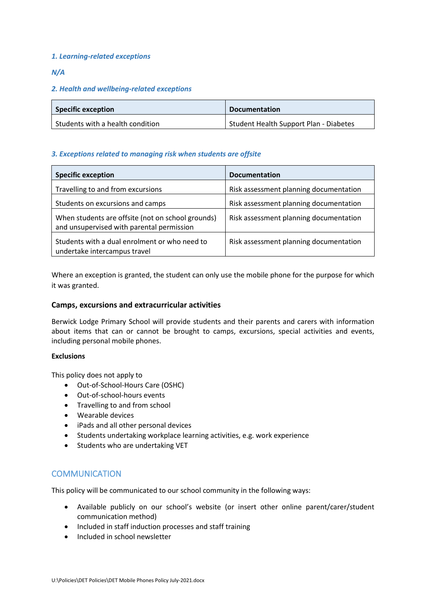### *1. Learning-related exceptions*

### *N/A*

### *2. Health and wellbeing-related exceptions*

| <b>Specific exception</b>        | <b>Documentation</b>                   |
|----------------------------------|----------------------------------------|
| Students with a health condition | Student Health Support Plan - Diabetes |

### *3. Exceptions related to managing risk when students are offsite*

| <b>Specific exception</b>                                                                      | <b>Documentation</b>                   |
|------------------------------------------------------------------------------------------------|----------------------------------------|
| Travelling to and from excursions                                                              | Risk assessment planning documentation |
| Students on excursions and camps                                                               | Risk assessment planning documentation |
| When students are offsite (not on school grounds)<br>and unsupervised with parental permission | Risk assessment planning documentation |
| Students with a dual enrolment or who need to<br>undertake intercampus travel                  | Risk assessment planning documentation |

Where an exception is granted, the student can only use the mobile phone for the purpose for which it was granted.

#### **Camps, excursions and extracurricular activities**

Berwick Lodge Primary School will provide students and their parents and carers with information about items that can or cannot be brought to camps, excursions, special activities and events, including personal mobile phones.

#### **Exclusions**

This policy does not apply to

- Out-of-School-Hours Care (OSHC)
- Out-of-school-hours events
- Travelling to and from school
- Wearable devices
- iPads and all other personal devices
- Students undertaking workplace learning activities, e.g. work experience
- Students who are undertaking VET

## **COMMUNICATION**

This policy will be communicated to our school community in the following ways:

- Available publicly on our school's website (or insert other online parent/carer/student communication method)
- Included in staff induction processes and staff training
- Included in school newsletter